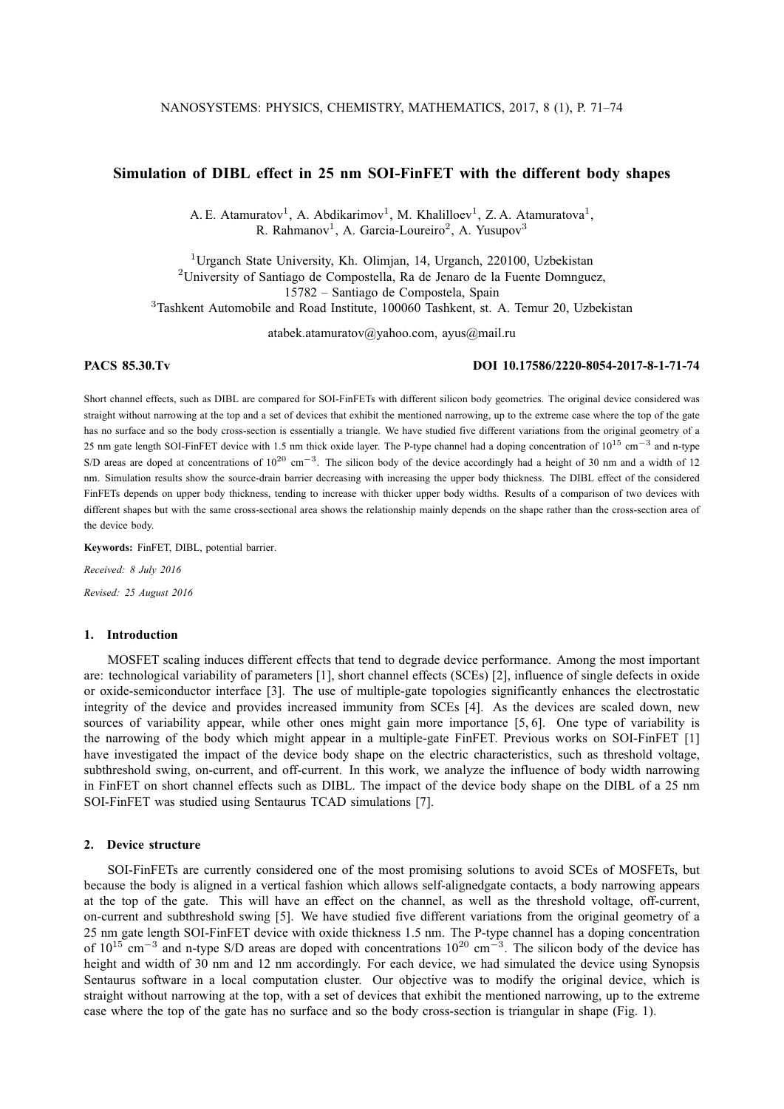# **Simulation of DIBL effect in 25 nm SOI-FinFET with the different body shapes**

A. E. Atamuratov<sup>1</sup>, A. Abdikarimov<sup>1</sup>, M. Khalilloev<sup>1</sup>, Z. A. Atamuratova<sup>1</sup>, R. Rahmanov<sup>1</sup>, A. Garcia-Loureiro<sup>2</sup>, A. Yusupov<sup>3</sup>

<sup>1</sup>Urganch State University, Kh. Olimjan, 14, Urganch, 220100, Uzbekistan <sup>2</sup>University of Santiago de Compostella, Ra de Jenaro de la Fuente Domnguez, 15782 – Santiago de Compostela, Spain <sup>3</sup>Tashkent Automobile and Road Institute, 100060 Tashkent, st. A. Temur 20, Uzbekistan

atabek.atamuratov@yahoo.com, ayus@mail.ru

# **PACS 85.30.Tv DOI 10.17586/2220-8054-2017-8-1-71-74**

Short channel effects, such as DIBL are compared for SOI-FinFETs with different silicon body geometries. The original device considered was straight without narrowing at the top and a set of devices that exhibit the mentioned narrowing, up to the extreme case where the top of the gate has no surface and so the body cross-section is essentially a triangle. We have studied five different variations from the original geometry of a 25 nm gate length SOI-FinFET device with 1.5 nm thick oxide layer. The P-type channel had a doping concentration of  $10^{15}$  cm<sup>-3</sup> and n-type S/D areas are doped at concentrations of  $10^{20}$  cm<sup>-3</sup>. The silicon body of the device accordingly had a height of 30 nm and a width of 12 nm. Simulation results show the source-drain barrier decreasing with increasing the upper body thickness. The DIBL effect of the considered FinFETs depends on upper body thickness, tending to increase with thicker upper body widths. Results of a comparison of two devices with different shapes but with the same cross-sectional area shows the relationship mainly depends on the shape rather than the cross-section area of the device body.

**Keywords:** FinFET, DIBL, potential barrier.

*Received: 8 July 2016 Revised: 25 August 2016*

#### **1. Introduction**

MOSFET scaling induces different effects that tend to degrade device performance. Among the most important are: technological variability of parameters [1], short channel effects (SCEs) [2], influence of single defects in oxide or oxide-semiconductor interface [3]. The use of multiple-gate topologies significantly enhances the electrostatic integrity of the device and provides increased immunity from SCEs [4]. As the devices are scaled down, new sources of variability appear, while other ones might gain more importance [5, 6]. One type of variability is the narrowing of the body which might appear in a multiple-gate FinFET. Previous works on SOI-FinFET [1] have investigated the impact of the device body shape on the electric characteristics, such as threshold voltage, subthreshold swing, on-current, and off-current. In this work, we analyze the influence of body width narrowing in FinFET on short channel effects such as DIBL. The impact of the device body shape on the DIBL of a 25 nm SOI-FinFET was studied using Sentaurus TCAD simulations [7].

#### **2. Device structure**

SOI-FinFETs are currently considered one of the most promising solutions to avoid SCEs of MOSFETs, but because the body is aligned in a vertical fashion which allows self-alignedgate contacts, a body narrowing appears at the top of the gate. This will have an effect on the channel, as well as the threshold voltage, off-current, on-current and subthreshold swing [5]. We have studied five different variations from the original geometry of a 25 nm gate length SOI-FinFET device with oxide thickness 1.5 nm. The P-type channel has a doping concentration of  $10^{15}$  cm<sup>-3</sup> and n-type S/D areas are doped with concentrations  $10^{20}$  cm<sup>-3</sup>. The silicon body of the device has height and width of 30 nm and 12 nm accordingly. For each device, we had simulated the device using Synopsis Sentaurus software in a local computation cluster. Our objective was to modify the original device, which is straight without narrowing at the top, with a set of devices that exhibit the mentioned narrowing, up to the extreme case where the top of the gate has no surface and so the body cross-section is triangular in shape (Fig. 1).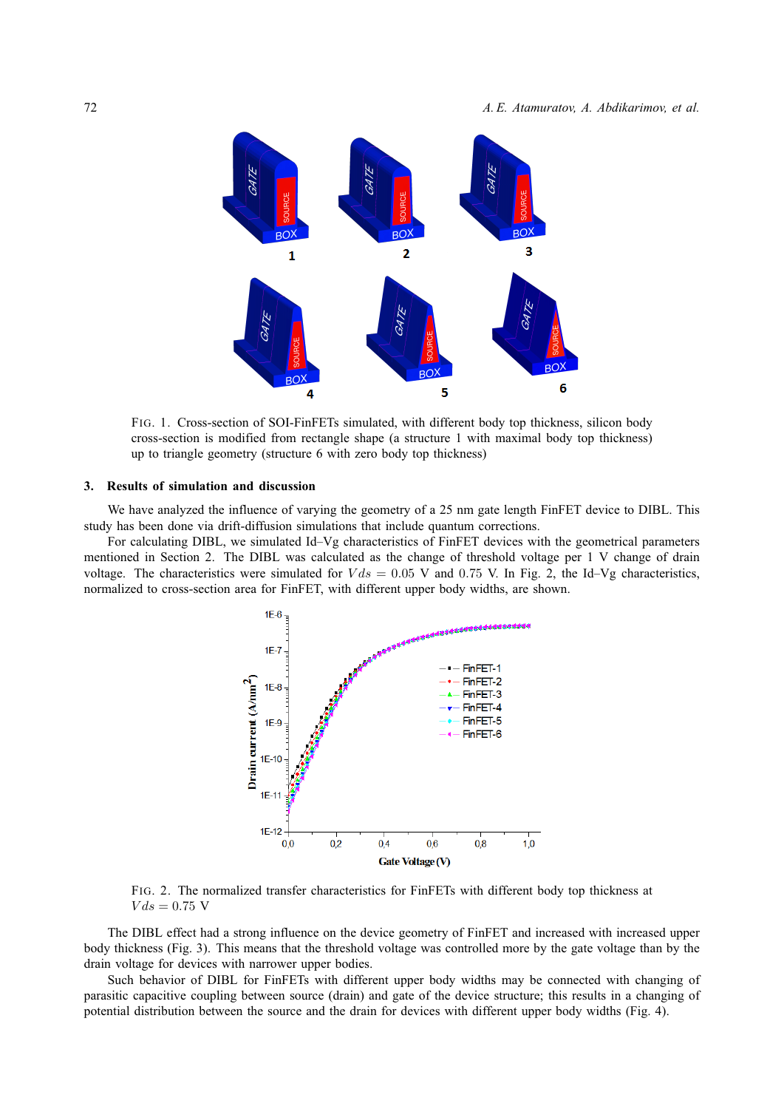

FIG. 1. Cross-section of SOI-FinFETs simulated, with different body top thickness, silicon body cross-section is modified from rectangle shape (a structure 1 with maximal body top thickness) up to triangle geometry (structure 6 with zero body top thickness)

# **3. Results of simulation and discussion**

We have analyzed the influence of varying the geometry of a 25 nm gate length FinFET device to DIBL. This study has been done via drift-diffusion simulations that include quantum corrections.

For calculating DIBL, we simulated Id–Vg characteristics of FinFET devices with the geometrical parameters mentioned in Section 2. The DIBL was calculated as the change of threshold voltage per 1 V change of drain voltage. The characteristics were simulated for  $V ds = 0.05$  V and 0.75 V. In Fig. 2, the Id–Vg characteristics, normalized to cross-section area for FinFET, with different upper body widths, are shown.



FIG. 2. The normalized transfer characteristics for FinFETs with different body top thickness at  $V ds = 0.75$  V

The DIBL effect had a strong influence on the device geometry of FinFET and increased with increased upper body thickness (Fig. 3). This means that the threshold voltage was controlled more by the gate voltage than by the drain voltage for devices with narrower upper bodies.

Such behavior of DIBL for FinFETs with different upper body widths may be connected with changing of parasitic capacitive coupling between source (drain) and gate of the device structure; this results in a changing of potential distribution between the source and the drain for devices with different upper body widths (Fig. 4).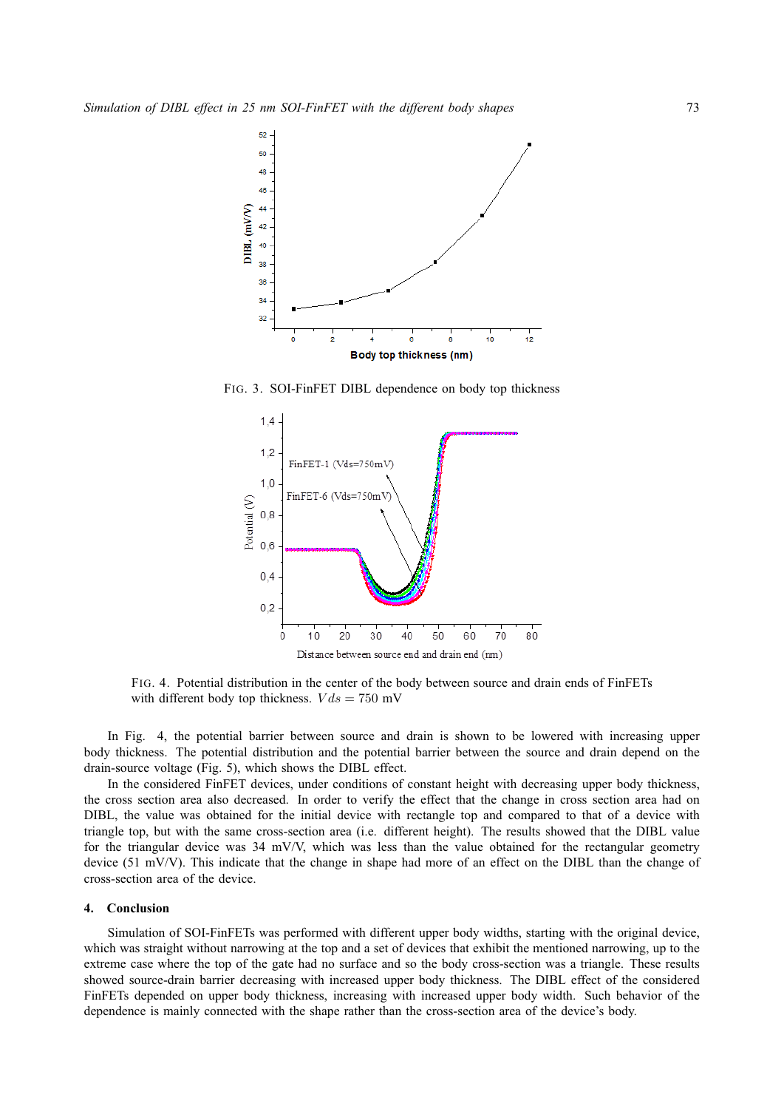

FIG. 3. SOI-FinFET DIBL dependence on body top thickness



FIG. 4. Potential distribution in the center of the body between source and drain ends of FinFETs with different body top thickness.  $V ds = 750$  mV

In Fig. 4, the potential barrier between source and drain is shown to be lowered with increasing upper body thickness. The potential distribution and the potential barrier between the source and drain depend on the drain-source voltage (Fig. 5), which shows the DIBL effect.

In the considered FinFET devices, under conditions of constant height with decreasing upper body thickness, the cross section area also decreased. In order to verify the effect that the change in cross section area had on DIBL, the value was obtained for the initial device with rectangle top and compared to that of a device with triangle top, but with the same cross-section area (i.e. different height). The results showed that the DIBL value for the triangular device was 34 mV/V, which was less than the value obtained for the rectangular geometry device (51 mV/V). This indicate that the change in shape had more of an effect on the DIBL than the change of cross-section area of the device.

### **4. Conclusion**

Simulation of SOI-FinFETs was performed with different upper body widths, starting with the original device, which was straight without narrowing at the top and a set of devices that exhibit the mentioned narrowing, up to the extreme case where the top of the gate had no surface and so the body cross-section was a triangle. These results showed source-drain barrier decreasing with increased upper body thickness. The DIBL effect of the considered FinFETs depended on upper body thickness, increasing with increased upper body width. Such behavior of the dependence is mainly connected with the shape rather than the cross-section area of the device's body.